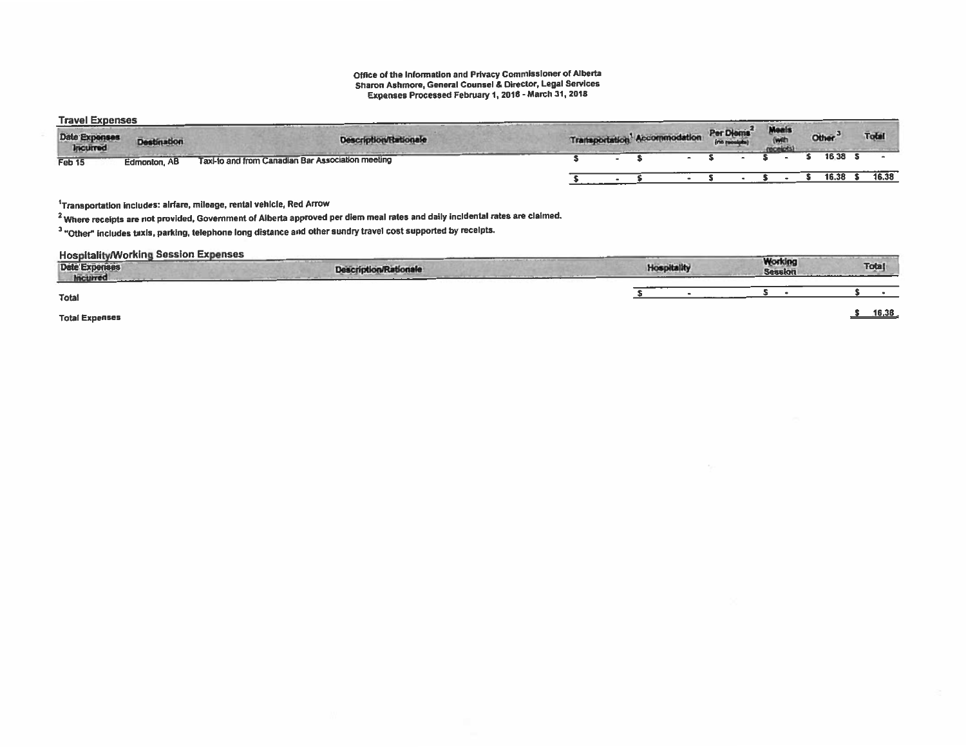## Office of the Information and Privacy Commissioner of Alberta<br>Sharon Ashmore, General Counsel & Director, Legal Services<br>Expenses Processed February 1, 2018 - March 31, 2018

**Travel Expenses** 

| <b>HALL PURSE</b><br>Date Expenses<br><b>Incurred</b> | <b>Destination</b> | <b>Description/Rationale</b>                                                     | Transportation <sup>1</sup> Accommodation |  | Per Diems <sup>2</sup> | Meals<br>$-10$ | Other <sup>3</sup> | <b>Total</b> |
|-------------------------------------------------------|--------------------|----------------------------------------------------------------------------------|-------------------------------------------|--|------------------------|----------------|--------------------|--------------|
| Feb 15                                                | Edmonton, AB       | and the company's company's<br>Taxi-to and from Canadian Bar Association meeting |                                           |  |                        |                | 16.38              |              |
|                                                       |                    |                                                                                  |                                           |  |                        |                |                    | 16.38        |

<sup>1</sup>Transportation includes: alrfare, mileage, rental vehicle, Red Arrow

<sup>2</sup> Where receipts are not provided, Government of Alberta approved per diem meal rates and daily incidental rates are claimed.

<sup>3</sup> "Other" includes taxis, parking, telephone long distance and other sundry travel cost supported by recelpts.

**Hospitality/Working Session Expenses** 

| .<br>Date Expenses<br>Incurred | <b>Bally Arms Ave</b><br><b>Description/Rationale</b> | <b>Hospitality</b> | <b>Working</b><br><b>Session</b> | <b>Total</b> |
|--------------------------------|-------------------------------------------------------|--------------------|----------------------------------|--------------|
| <b>Total</b>                   |                                                       |                    |                                  |              |
| <b>Total Expenses</b>          |                                                       |                    |                                  | 16,38        |